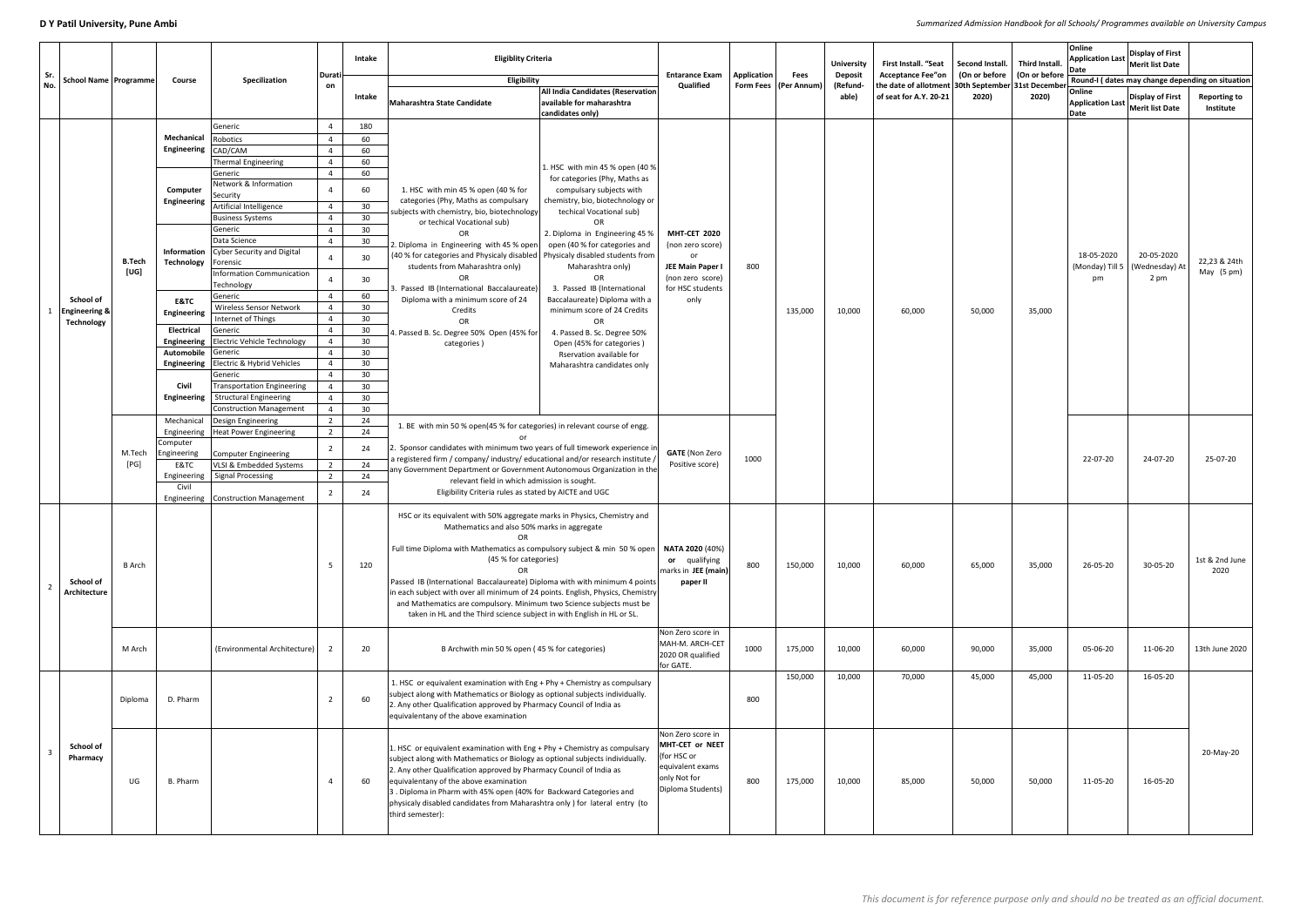**D Y Patil University, Pune Ambi** *Summarized Admission Handbook for all Schools/ Programmes available on University Campus*

| Sr.<br><b>School Name   Programme</b><br>No.               |                | Course                  | Specilization                                  | Durati         | Intake                | <b>Eligiblity Criteria</b><br>Eligibility                                                                                                                                                                                                                                                                                                                                                                                                           |                                                                                           | <b>Entarance Exam</b><br>Qualified                                                                           | Application | <b>Fees</b>             | <b>University</b><br><b>Deposit</b> | First Install. "Seat<br><b>Acceptance Fee"on</b><br>the date of allotment 30th September 31st December<br>of seat for A.Y. 20-21 | Second Install. Third Install<br>(On or before   (On or before<br>2020) |        | Online<br>Date        | <b>Display of First</b><br><b>Application Last Merit list Date</b><br>Round-I (dates may change depending on situation |                                      |
|------------------------------------------------------------|----------------|-------------------------|------------------------------------------------|----------------|-----------------------|-----------------------------------------------------------------------------------------------------------------------------------------------------------------------------------------------------------------------------------------------------------------------------------------------------------------------------------------------------------------------------------------------------------------------------------------------------|-------------------------------------------------------------------------------------------|--------------------------------------------------------------------------------------------------------------|-------------|-------------------------|-------------------------------------|----------------------------------------------------------------------------------------------------------------------------------|-------------------------------------------------------------------------|--------|-----------------------|------------------------------------------------------------------------------------------------------------------------|--------------------------------------|
|                                                            |                |                         |                                                | on             | Intake                | Maharashtra State Candidate                                                                                                                                                                                                                                                                                                                                                                                                                         | <b>All India Candidates (Reservation</b><br>available for maharashtra<br>candidates only) |                                                                                                              |             | Form Fees   (Per Annum) | (Refund-<br>able)                   |                                                                                                                                  |                                                                         | 2020)  | Online<br>Date        | <b>Display of First</b><br>Application Last Merit list Date                                                            | <b>Reporting to</b><br>Institute     |
|                                                            |                |                         | Generic                                        |                | 180                   |                                                                                                                                                                                                                                                                                                                                                                                                                                                     |                                                                                           |                                                                                                              |             |                         |                                     |                                                                                                                                  |                                                                         |        |                       |                                                                                                                        |                                      |
|                                                            |                | Mechanical              | Robotics                                       |                | 60                    |                                                                                                                                                                                                                                                                                                                                                                                                                                                     |                                                                                           |                                                                                                              |             |                         |                                     |                                                                                                                                  |                                                                         |        |                       |                                                                                                                        |                                      |
|                                                            |                | Engineering CAD/CAM     |                                                |                | 60                    |                                                                                                                                                                                                                                                                                                                                                                                                                                                     |                                                                                           |                                                                                                              |             |                         |                                     |                                                                                                                                  |                                                                         |        |                       |                                                                                                                        |                                      |
|                                                            |                |                         | Thermal Engineering                            |                | 60                    |                                                                                                                                                                                                                                                                                                                                                                                                                                                     | 1. HSC with min 45 % open (40 %                                                           |                                                                                                              |             |                         |                                     |                                                                                                                                  |                                                                         |        |                       |                                                                                                                        |                                      |
|                                                            |                |                         | Generic<br>Network & Information               |                | 60<br>60              | 1. HSC with min 45 % open (40 % for                                                                                                                                                                                                                                                                                                                                                                                                                 | for categories (Phy, Maths as<br>compulsary subjects with                                 |                                                                                                              |             |                         |                                     |                                                                                                                                  |                                                                         |        |                       |                                                                                                                        |                                      |
|                                                            |                | Computer<br>Engineering | Security<br>Artificial Intelligence            |                | 30                    | categories (Phy, Maths as compulsary                                                                                                                                                                                                                                                                                                                                                                                                                | chemistry, bio, biotechnology or                                                          |                                                                                                              |             |                         |                                     |                                                                                                                                  |                                                                         |        |                       |                                                                                                                        |                                      |
|                                                            |                |                         | <b>Business Systems</b>                        |                | 30 <sup>°</sup>       | subjects with chemistry, bio, biotechnology                                                                                                                                                                                                                                                                                                                                                                                                         | techical Vocational sub)                                                                  |                                                                                                              |             |                         |                                     |                                                                                                                                  |                                                                         |        |                       |                                                                                                                        |                                      |
|                                                            |                |                         | Generic                                        |                | 30 <sup>°</sup>       | or techical Vocational sub)                                                                                                                                                                                                                                                                                                                                                                                                                         | <b>OR</b>                                                                                 |                                                                                                              |             |                         |                                     |                                                                                                                                  |                                                                         |        |                       |                                                                                                                        |                                      |
|                                                            |                |                         | Data Science                                   |                | 30 <sup>°</sup>       | OR<br>2. Diploma in Engineering with 45 % open                                                                                                                                                                                                                                                                                                                                                                                                      | 2. Diploma in Engineering 45 %<br>open (40 % for categories and                           | <b>MHT-CET 2020</b>                                                                                          |             |                         |                                     |                                                                                                                                  |                                                                         |        |                       |                                                                                                                        |                                      |
|                                                            | <b>B.Tech</b>  |                         | <b>Information</b> Cyber Security and Digital  | 4              | 30                    | (40 % for categories and Physicaly disabled   Physicaly disabled students from                                                                                                                                                                                                                                                                                                                                                                      |                                                                                           | (non zero score)<br>or                                                                                       |             |                         |                                     |                                                                                                                                  |                                                                         |        | 18-05-2020            | 20-05-2020<br>(Wednesday) At<br>2 pm                                                                                   | 22,23 & 24th<br>May $(5 \text{ pm})$ |
|                                                            | [UG]           | <b>Technology</b>       | Forensic<br>Information Communication          | -4             | 30                    | students from Maharashtra only)                                                                                                                                                                                                                                                                                                                                                                                                                     | Maharashtra only)<br><b>OR</b>                                                            | JEE Main Paper I<br>(non zero score)<br>for HSC students                                                     | 800         |                         |                                     | 60,000                                                                                                                           | 50,000                                                                  |        | (Monday) Till 5<br>pm |                                                                                                                        |                                      |
|                                                            |                |                         | Technology                                     |                |                       | . Passed IB (International Baccalaureate)                                                                                                                                                                                                                                                                                                                                                                                                           | 3. Passed IB (International                                                               |                                                                                                              |             |                         |                                     |                                                                                                                                  |                                                                         |        |                       |                                                                                                                        |                                      |
| School of<br><b>Engineering &amp;</b><br><b>Technology</b> |                | <b>E&amp;TC</b>         | Generic                                        |                | 60                    | Diploma with a minimum score of 24                                                                                                                                                                                                                                                                                                                                                                                                                  | Baccalaureate) Diploma with a<br>minimum score of 24 Credits<br><b>OR</b>                 | only                                                                                                         |             | 135,000                 | 10,000                              |                                                                                                                                  |                                                                         |        |                       |                                                                                                                        |                                      |
|                                                            |                | Engineering             | Wireless Sensor Network<br>Internet of Things  |                | 30<br>30 <sup>°</sup> | Credits                                                                                                                                                                                                                                                                                                                                                                                                                                             |                                                                                           |                                                                                                              |             |                         |                                     |                                                                                                                                  |                                                                         | 35,000 |                       |                                                                                                                        |                                      |
|                                                            |                | <b>Electrical</b>       | Generic                                        | $\overline{4}$ | 30                    | OF<br>4. Passed B. Sc. Degree 50% Open (45% for                                                                                                                                                                                                                                                                                                                                                                                                     |                                                                                           |                                                                                                              |             |                         |                                     |                                                                                                                                  |                                                                         |        |                       |                                                                                                                        |                                      |
|                                                            |                |                         | <b>Engineering</b> Electric Vehicle Technology |                | 30                    |                                                                                                                                                                                                                                                                                                                                                                                                                                                     | 4. Passed B. Sc. Degree 50%<br>Open (45% for categories)                                  |                                                                                                              |             |                         |                                     |                                                                                                                                  |                                                                         |        |                       |                                                                                                                        |                                      |
|                                                            |                | Automobile Generic      |                                                |                | 30                    | categories)                                                                                                                                                                                                                                                                                                                                                                                                                                         | Rservation available for                                                                  |                                                                                                              |             |                         |                                     |                                                                                                                                  |                                                                         |        |                       |                                                                                                                        |                                      |
|                                                            |                |                         | <b>Engineering</b> Electric & Hybrid Vehicles  |                | 30                    |                                                                                                                                                                                                                                                                                                                                                                                                                                                     | Maharashtra candidates only                                                               |                                                                                                              |             |                         |                                     |                                                                                                                                  |                                                                         |        |                       |                                                                                                                        |                                      |
|                                                            |                |                         | Generic                                        |                | 30                    |                                                                                                                                                                                                                                                                                                                                                                                                                                                     |                                                                                           |                                                                                                              |             |                         |                                     |                                                                                                                                  |                                                                         |        |                       |                                                                                                                        |                                      |
|                                                            |                | Civil                   | <b>Transportation Engineering</b>              |                | 30 <sup>°</sup>       |                                                                                                                                                                                                                                                                                                                                                                                                                                                     |                                                                                           |                                                                                                              |             |                         |                                     |                                                                                                                                  |                                                                         |        |                       |                                                                                                                        |                                      |
|                                                            |                |                         | <b>Engineering</b>   Structural Engineering    |                | 30 <sup>°</sup>       |                                                                                                                                                                                                                                                                                                                                                                                                                                                     |                                                                                           |                                                                                                              |             |                         |                                     |                                                                                                                                  |                                                                         |        |                       |                                                                                                                        |                                      |
|                                                            |                |                         | <b>Construction Management</b>                 |                | 30 <sup>°</sup>       |                                                                                                                                                                                                                                                                                                                                                                                                                                                     |                                                                                           |                                                                                                              |             |                         |                                     |                                                                                                                                  |                                                                         |        |                       |                                                                                                                        |                                      |
|                                                            |                | Mechanical              | Design Engineering                             |                | 24<br>24              | 1. BE with min 50 % open(45 % for categories) in relevant course of engg.                                                                                                                                                                                                                                                                                                                                                                           |                                                                                           |                                                                                                              |             |                         |                                     |                                                                                                                                  |                                                                         |        |                       |                                                                                                                        |                                      |
|                                                            | M.Tech<br>[PG] | Computer                | Engineering   Heat Power Engineering           |                |                       | 2. Sponsor candidates with minimum two years of full timework experience in<br>a registered firm / company/ industry/ educational and/or research institute /<br>any Government Department or Government Autonomous Organization in the<br>relevant field in which admission is sought.                                                                                                                                                             |                                                                                           |                                                                                                              |             |                         |                                     |                                                                                                                                  |                                                                         |        |                       |                                                                                                                        |                                      |
|                                                            |                | Engineering             | Computer Engineering                           |                | 24                    |                                                                                                                                                                                                                                                                                                                                                                                                                                                     |                                                                                           | <b>GATE</b> (Non Zero                                                                                        |             |                         |                                     |                                                                                                                                  |                                                                         |        | 22-07-20              | 24-07-20                                                                                                               |                                      |
|                                                            |                | E&TC                    | VLSI & Embedded Systems                        |                | 24                    |                                                                                                                                                                                                                                                                                                                                                                                                                                                     |                                                                                           | Positive score)                                                                                              | 1000        |                         |                                     |                                                                                                                                  |                                                                         |        |                       |                                                                                                                        | 25-07-20                             |
|                                                            |                |                         | Engineering   Signal Processing                |                | 24                    |                                                                                                                                                                                                                                                                                                                                                                                                                                                     |                                                                                           |                                                                                                              |             |                         |                                     |                                                                                                                                  |                                                                         |        |                       |                                                                                                                        |                                      |
|                                                            |                | Civil                   |                                                |                | 24                    | Eligibility Criteria rules as stated by AICTE and UGC                                                                                                                                                                                                                                                                                                                                                                                               |                                                                                           |                                                                                                              |             |                         |                                     |                                                                                                                                  |                                                                         |        |                       |                                                                                                                        |                                      |
|                                                            |                |                         | Engineering Construction Management            |                |                       |                                                                                                                                                                                                                                                                                                                                                                                                                                                     |                                                                                           |                                                                                                              |             |                         |                                     |                                                                                                                                  |                                                                         |        |                       |                                                                                                                        |                                      |
|                                                            | <b>B</b> Arch  |                         |                                                |                |                       | HSC or its equivalent with 50% aggregate marks in Physics, Chemistry and<br>Mathematics and also 50% marks in aggregate<br>Full time Diploma with Mathematics as compulsory subject & min 50 % open                                                                                                                                                                                                                                                 |                                                                                           | <b>NATA 2020 (40%)</b>                                                                                       |             |                         |                                     |                                                                                                                                  |                                                                         |        |                       |                                                                                                                        |                                      |
|                                                            |                |                         |                                                | 5              | 120                   | (45 % for categories)                                                                                                                                                                                                                                                                                                                                                                                                                               |                                                                                           | or qualifying<br>marks in JEE (main)                                                                         | 800         | 150,000                 | 10,000                              | 60,000                                                                                                                           | 65,000                                                                  | 35,000 | 26-05-20              | 30-05-20                                                                                                               | 1st & 2nd June<br>2020               |
| School of                                                  |                |                         |                                                |                |                       | Passed IB (International Baccalaureate) Diploma with with minimum 4 points<br>in each subject with over all minimum of 24 points. English, Physics, Chemistry                                                                                                                                                                                                                                                                                       |                                                                                           | paper II                                                                                                     |             |                         |                                     |                                                                                                                                  |                                                                         |        |                       |                                                                                                                        |                                      |
| Architecture                                               |                |                         |                                                |                |                       |                                                                                                                                                                                                                                                                                                                                                                                                                                                     | and Mathematics are compulsory. Minimum two Science subjects must be                      |                                                                                                              |             |                         |                                     |                                                                                                                                  |                                                                         |        |                       |                                                                                                                        |                                      |
|                                                            |                |                         |                                                |                |                       | taken in HL and the Third science subject in with English in HL or SL.                                                                                                                                                                                                                                                                                                                                                                              |                                                                                           |                                                                                                              |             |                         |                                     |                                                                                                                                  |                                                                         |        |                       |                                                                                                                        |                                      |
|                                                            |                |                         |                                                |                |                       |                                                                                                                                                                                                                                                                                                                                                                                                                                                     |                                                                                           |                                                                                                              |             |                         |                                     |                                                                                                                                  |                                                                         |        |                       |                                                                                                                        |                                      |
|                                                            | M Arch         |                         | (Environmental Architecture)                   |                | 20                    | B Archwith min 50 % open (45 % for categories)                                                                                                                                                                                                                                                                                                                                                                                                      |                                                                                           | Non Zero score in<br>MAH-M. ARCH-CET<br>2020 OR qualified<br>for GATE.                                       | 1000        | 175,000                 | 10,000                              | 60,000                                                                                                                           | 90,000                                                                  | 35,000 | 05-06-20              | 11-06-20                                                                                                               | 13th June 2020                       |
|                                                            |                |                         |                                                |                |                       | 1. HSC or equivalent examination with Eng + Phy + Chemistry as compulsary                                                                                                                                                                                                                                                                                                                                                                           |                                                                                           |                                                                                                              |             | 150,000                 | 10,000                              | 70,000                                                                                                                           | 45,000                                                                  | 45,000 | 11-05-20              | 16-05-20                                                                                                               |                                      |
| <b>School of</b><br>Pharmacy                               | Diploma        | D. Pharm                |                                                |                | 60                    | subject along with Mathematics or Biology as optional subjects individually.<br>2. Any other Qualification approved by Pharmacy Council of India as<br>equivalentany of the above examination                                                                                                                                                                                                                                                       |                                                                                           |                                                                                                              | 800         |                         |                                     |                                                                                                                                  |                                                                         |        |                       |                                                                                                                        |                                      |
|                                                            | UG             | B. Pharm                |                                                | $\overline{4}$ | 60                    | 1. HSC or equivalent examination with Eng + Phy + Chemistry as compulsary<br>subject along with Mathematics or Biology as optional subjects individually.<br>2. Any other Qualification approved by Pharmacy Council of India as<br>equivalentany of the above examination<br>3. Diploma in Pharm with 45% open (40% for Backward Categories and<br>physicaly disabled candidates from Maharashtra only ) for lateral entry (to<br>third semester): |                                                                                           | Non Zero score in<br>MHT-CET or NEET<br>(for HSC or<br>equivalent exams<br>only Not for<br>Diploma Students) | 800         | 175,000                 | 10,000                              | 85,000                                                                                                                           | 50,000                                                                  | 50,000 | 11-05-20              | 16-05-20                                                                                                               | 20-May-20                            |
|                                                            |                |                         |                                                |                |                       |                                                                                                                                                                                                                                                                                                                                                                                                                                                     |                                                                                           |                                                                                                              |             |                         |                                     |                                                                                                                                  |                                                                         |        |                       |                                                                                                                        |                                      |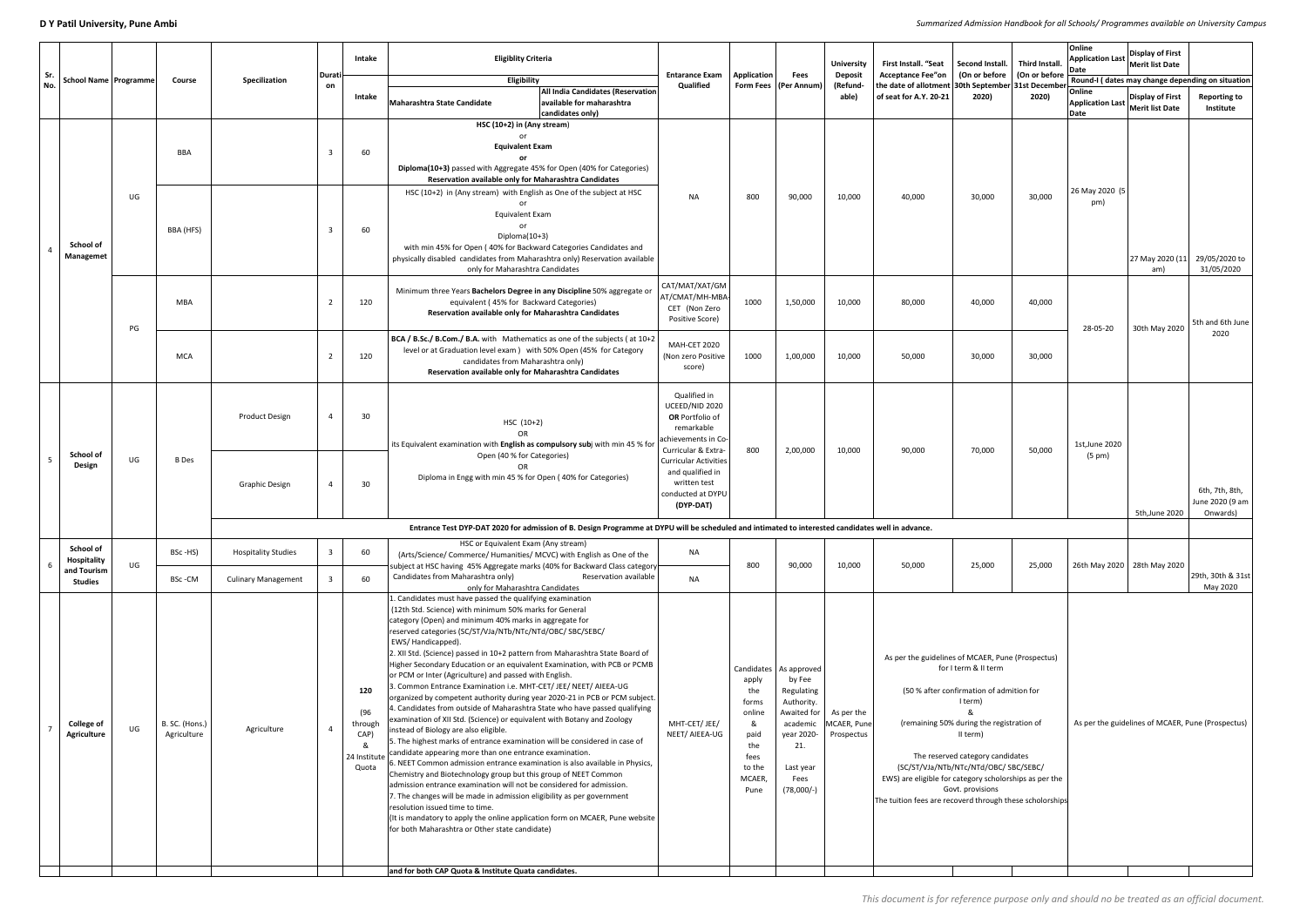**D Y Patil University, Pune Ambi** *Summarized Admission Handbook for all Schools/ Programmes available on University Campus*

| Sr.<br>No. |                                         |                                | Course                        | Specilization              | Durati<br>on | Intake                                       | <b>Eligiblity Criteria</b>                                                                                                                                                                                                                                                                                                                                                                                                                                                                                                                                                                                                                                                                                                                                                                                                                                                                                                                                                                                                                                                                                                                                                                                                                                                                                                                                                                                                                                                 | <b>Entarance Exam</b><br>Qualified                                                                                                                                                                                                              |                                                                                    | <b>Fees</b><br>Form Fees   (Per Annum)                                                                                                              | <b>University</b>                       | <b>First Install. "Seat</b><br><b>Deposit</b><br><b>Acceptance Fee"on</b><br>the date of allotment 30th September 31st December                                         | Second Install. Third Install.                                                                                                                                                                                                        | (On or before   (On or before | Online<br><b>Application Last</b><br> Date        | <b>Display of First</b><br>Merit list Date        |                                                  |
|------------|-----------------------------------------|--------------------------------|-------------------------------|----------------------------|--------------|----------------------------------------------|----------------------------------------------------------------------------------------------------------------------------------------------------------------------------------------------------------------------------------------------------------------------------------------------------------------------------------------------------------------------------------------------------------------------------------------------------------------------------------------------------------------------------------------------------------------------------------------------------------------------------------------------------------------------------------------------------------------------------------------------------------------------------------------------------------------------------------------------------------------------------------------------------------------------------------------------------------------------------------------------------------------------------------------------------------------------------------------------------------------------------------------------------------------------------------------------------------------------------------------------------------------------------------------------------------------------------------------------------------------------------------------------------------------------------------------------------------------------------|-------------------------------------------------------------------------------------------------------------------------------------------------------------------------------------------------------------------------------------------------|------------------------------------------------------------------------------------|-----------------------------------------------------------------------------------------------------------------------------------------------------|-----------------------------------------|-------------------------------------------------------------------------------------------------------------------------------------------------------------------------|---------------------------------------------------------------------------------------------------------------------------------------------------------------------------------------------------------------------------------------|-------------------------------|---------------------------------------------------|---------------------------------------------------|--------------------------------------------------|
|            |                                         | <b>School Name   Programme</b> |                               |                            |              |                                              | Eligibility                                                                                                                                                                                                                                                                                                                                                                                                                                                                                                                                                                                                                                                                                                                                                                                                                                                                                                                                                                                                                                                                                                                                                                                                                                                                                                                                                                                                                                                                |                                                                                                                                                                                                                                                 | Application                                                                        |                                                                                                                                                     | (Refund-                                |                                                                                                                                                                         |                                                                                                                                                                                                                                       |                               |                                                   |                                                   | Round-I (dates may change depending on situation |
|            |                                         |                                |                               |                            |              | Intake                                       | <b>All India Candidates (Reservation</b><br>available for maharashtra<br>Maharashtra State Candidate<br>candidates only)                                                                                                                                                                                                                                                                                                                                                                                                                                                                                                                                                                                                                                                                                                                                                                                                                                                                                                                                                                                                                                                                                                                                                                                                                                                                                                                                                   |                                                                                                                                                                                                                                                 |                                                                                    |                                                                                                                                                     | able)                                   | of seat for A.Y. 20-21                                                                                                                                                  | 2020)                                                                                                                                                                                                                                 | 2020)                         | Online<br><b>Application Last</b><br>Date         | <b>Display of First</b><br><b>Merit list Date</b> | <b>Reporting to</b><br>Institute                 |
|            |                                         | UG                             | <b>BBA</b>                    |                            |              | 60                                           | HSC (10+2) in (Any stream)<br><b>Equivalent Exam</b><br>Diploma(10+3) passed with Aggregate 45% for Open (40% for Categories)<br>Reservation available only for Maharashtra Candidates<br>HSC (10+2) in (Any stream) with English as One of the subject at HSC                                                                                                                                                                                                                                                                                                                                                                                                                                                                                                                                                                                                                                                                                                                                                                                                                                                                                                                                                                                                                                                                                                                                                                                                             | <b>NA</b>                                                                                                                                                                                                                                       | 800                                                                                | 90,000                                                                                                                                              | 10,000                                  | 40,000                                                                                                                                                                  | 30,000                                                                                                                                                                                                                                | 30,000                        | 26 May 2020 (5                                    |                                                   |                                                  |
|            | School of<br><b>Managemet</b>           |                                | BBA (HFS)                     |                            |              | 60                                           | <b>Equivalent Exam</b><br>Diploma(10+3)<br>with min 45% for Open (40% for Backward Categories Candidates and<br>physically disabled candidates from Maharashtra only) Reservation available<br>only for Maharashtra Candidates                                                                                                                                                                                                                                                                                                                                                                                                                                                                                                                                                                                                                                                                                                                                                                                                                                                                                                                                                                                                                                                                                                                                                                                                                                             |                                                                                                                                                                                                                                                 |                                                                                    |                                                                                                                                                     |                                         |                                                                                                                                                                         |                                                                                                                                                                                                                                       |                               | pm)                                               | 27 May 2020 (11<br>am)                            | 29/05/2020 to<br>31/05/2020                      |
|            |                                         | PG                             | <b>MBA</b><br><b>MCA</b>      |                            |              | 120                                          | Minimum three Years Bachelors Degree in any Discipline 50% aggregate or<br>equivalent (45% for Backward Categories)<br>Reservation available only for Maharashtra Candidates                                                                                                                                                                                                                                                                                                                                                                                                                                                                                                                                                                                                                                                                                                                                                                                                                                                                                                                                                                                                                                                                                                                                                                                                                                                                                               | CAT/MAT/XAT/GM<br>AT/CMAT/MH-MBA-<br>CET (Non Zero<br>Positive Score)                                                                                                                                                                           | 1000                                                                               | 1,50,000                                                                                                                                            | 10,000                                  | 80,000                                                                                                                                                                  | 40,000                                                                                                                                                                                                                                | 40,000                        | 28-05-20                                          | 30th May 2020                                     | 5th and 6th June                                 |
|            |                                         |                                |                               |                            |              |                                              | 120                                                                                                                                                                                                                                                                                                                                                                                                                                                                                                                                                                                                                                                                                                                                                                                                                                                                                                                                                                                                                                                                                                                                                                                                                                                                                                                                                                                                                                                                        | BCA / B.Sc./ B.Com./ B.A. with Mathematics as one of the subjects (at 10+2<br>level or at Graduation level exam ) with 50% Open (45% for Category<br>candidates from Maharashtra only)<br>Reservation available only for Maharashtra Candidates | MAH-CET 2020<br>(Non zero Positive<br>score)                                       | 1000                                                                                                                                                | 1,00,000                                | 10,000                                                                                                                                                                  | 50,000                                                                                                                                                                                                                                | 30,000                        | 30,000                                            |                                                   |                                                  |
|            |                                         |                                | <b>B</b> Des                  | <b>Product Design</b>      |              | 30                                           | $HSC (10+2)$<br>OR.<br>its Equivalent examination with English as compulsory subj with min 45 % for                                                                                                                                                                                                                                                                                                                                                                                                                                                                                                                                                                                                                                                                                                                                                                                                                                                                                                                                                                                                                                                                                                                                                                                                                                                                                                                                                                        | Qualified in<br>UCEED/NID 2020<br>OR Portfolio of<br>remarkable<br>achievements in Co-<br>Curricular & Extra-                                                                                                                                   | 800                                                                                | 2,00,000                                                                                                                                            | 10,000                                  | 90,000                                                                                                                                                                  | 70,000                                                                                                                                                                                                                                | 50,000                        | 1st, June 2020                                    |                                                   |                                                  |
|            | <b>School of</b><br><b>Design</b>       | UG                             |                               | <b>Graphic Design</b>      |              | 30                                           | Open (40 % for Categories)<br>Diploma in Engg with min 45 % for Open (40% for Categories)                                                                                                                                                                                                                                                                                                                                                                                                                                                                                                                                                                                                                                                                                                                                                                                                                                                                                                                                                                                                                                                                                                                                                                                                                                                                                                                                                                                  | <b>Curricular Activities</b><br>and qualified in<br>written test<br>conducted at DYPU<br>(DYP-DAT)                                                                                                                                              |                                                                                    |                                                                                                                                                     |                                         |                                                                                                                                                                         |                                                                                                                                                                                                                                       |                               | (5 pm)                                            | 5th, June 2020                                    | 6th, 7th, 8th,<br>June 2020 (9 am<br>Onwards)    |
|            |                                         |                                |                               |                            |              |                                              | Entrance Test DYP-DAT 2020 for admission of B. Design Programme at DYPU will be scheduled and intimated to interested candidates well in advance.                                                                                                                                                                                                                                                                                                                                                                                                                                                                                                                                                                                                                                                                                                                                                                                                                                                                                                                                                                                                                                                                                                                                                                                                                                                                                                                          |                                                                                                                                                                                                                                                 |                                                                                    |                                                                                                                                                     |                                         |                                                                                                                                                                         |                                                                                                                                                                                                                                       |                               |                                                   |                                                   |                                                  |
|            | School of<br>Hospitality                | UG                             | BSc-HS)                       | <b>Hospitality Studies</b> |              | 60                                           | HSC or Equivalent Exam (Any stream)<br>(Arts/Science/ Commerce/ Humanities/ MCVC) with English as One of the<br>subject at HSC having 45% Aggregate marks (40% for Backward Class category                                                                                                                                                                                                                                                                                                                                                                                                                                                                                                                                                                                                                                                                                                                                                                                                                                                                                                                                                                                                                                                                                                                                                                                                                                                                                 | <b>NA</b>                                                                                                                                                                                                                                       | 800                                                                                | 90,000                                                                                                                                              | 10,000                                  | 50,000                                                                                                                                                                  | 25,000                                                                                                                                                                                                                                | 25,000                        | 26th May 2020   28th May 2020                     |                                                   |                                                  |
|            | and Tourism<br><b>Studies</b>           |                                | BSc-CM                        | <b>Culinary Management</b> |              | 60                                           | Candidates from Maharashtra only)<br>Reservation available<br>only for Maharashtra Candidates                                                                                                                                                                                                                                                                                                                                                                                                                                                                                                                                                                                                                                                                                                                                                                                                                                                                                                                                                                                                                                                                                                                                                                                                                                                                                                                                                                              | <b>NA</b>                                                                                                                                                                                                                                       |                                                                                    |                                                                                                                                                     |                                         |                                                                                                                                                                         |                                                                                                                                                                                                                                       |                               |                                                   |                                                   | 29th, 30th & 31st<br>May 2020                    |
|            | <b>College of</b><br><b>Agriculture</b> | UG                             | B. SC. (Hons.)<br>Agriculture | Agriculture                |              | 120<br>(96)<br>through<br>CAP)<br>&<br>Quota | L. Candidates must have passed the qualifying examination<br>(12th Std. Science) with minimum 50% marks for General<br>category (Open) and minimum 40% marks in aggregate for<br>reserved categories (SC/ST/VJa/NTb/NTc/NTd/OBC/ SBC/SEBC/<br>EWS/Handicapped).<br>2. XII Std. (Science) passed in 10+2 pattern from Maharashtra State Board of<br>Higher Secondary Education or an equivalent Examination, with PCB or PCMB<br>or PCM or Inter (Agriculture) and passed with English.<br>3. Common Entrance Examination i.e. MHT-CET/ JEE/ NEET/ AIEEA-UG<br>organized by competent authority during year 2020-21 in PCB or PCM subject.<br>I. Candidates from outside of Maharashtra State who have passed qualifying<br>examination of XII Std. (Science) or equivalent with Botany and Zoology<br>instead of Biology are also eligible.<br>5. The highest marks of entrance examination will be considered in case of<br>24 Institute candidate appearing more than one entrance examination.<br>6. NEET Common admission entrance examination is also available in Physics,<br>Chemistry and Biotechnology group but this group of NEET Common<br>admission entrance examination will not be considered for admission.<br>7. The changes will be made in admission eligibility as per government<br>resolution issued time to time.<br>(It is mandatory to apply the online application form on MCAER, Pune website<br>for both Maharashtra or Other state candidate) | MHT-CET/ JEE/<br>NEET/ AIEEA-UG                                                                                                                                                                                                                 | apply<br>the<br>forms<br>online<br>paid<br>the<br>fees<br>to the<br>MCAER,<br>Pune | Candidates   As approved<br>by Fee<br>Regulating<br>Authority.<br>Awaited for<br>academic<br>year 2020-<br>21.<br>Last year<br>Fees<br>$(78,000/-)$ | As per the<br>MCAER, Pune<br>Prospectus | As per the guidelines of MCAER, Pune (Prospectus)<br>EWS) are eligible for category scholorships as per the<br>The tuition fees are recoverd through these scholorships | for I term & II term<br>(50 % after confirmation of admition for<br>I term)<br>(remaining 50% during the registration of<br>II term)<br>The reserved category candidates<br>(SC/ST/VJa/NTb/NTc/NTd/OBC/ SBC/SEBC/<br>Govt. provisions |                               | As per the guidelines of MCAER, Pune (Prospectus) |                                                   |                                                  |
|            |                                         |                                |                               |                            |              |                                              | and for both CAP Quota & Institute Quata candidates.                                                                                                                                                                                                                                                                                                                                                                                                                                                                                                                                                                                                                                                                                                                                                                                                                                                                                                                                                                                                                                                                                                                                                                                                                                                                                                                                                                                                                       |                                                                                                                                                                                                                                                 |                                                                                    |                                                                                                                                                     |                                         |                                                                                                                                                                         |                                                                                                                                                                                                                                       |                               |                                                   |                                                   |                                                  |